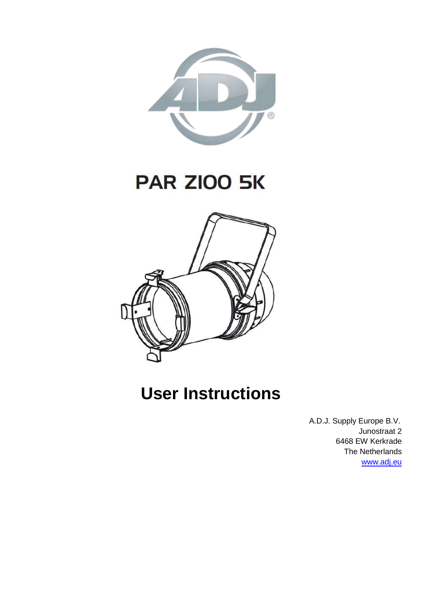

# **PAR ZIOO 5K**



# **User Instructions**

 A.D.J. Supply Europe B.V. Junostraat 2 6468 EW Kerkrade The Netherlands [www.adj.eu](http://www.adj.eu/)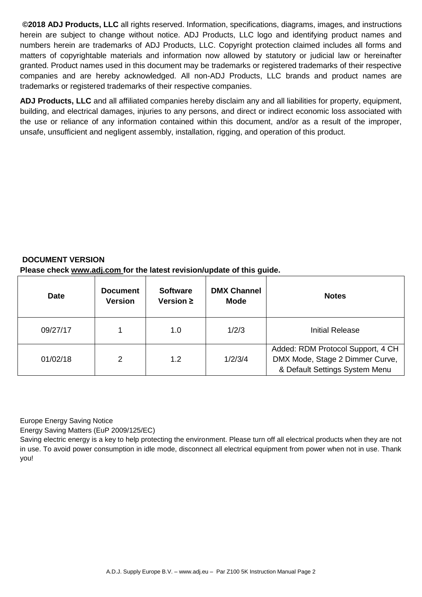**©2018 ADJ Products, LLC** all rights reserved. Information, specifications, diagrams, images, and instructions herein are subject to change without notice. ADJ Products, LLC logo and identifying product names and numbers herein are trademarks of ADJ Products, LLC. Copyright protection claimed includes all forms and matters of copyrightable materials and information now allowed by statutory or judicial law or hereinafter granted. Product names used in this document may be trademarks or registered trademarks of their respective companies and are hereby acknowledged. All non-ADJ Products, LLC brands and product names are trademarks or registered trademarks of their respective companies.

**ADJ Products, LLC** and all affiliated companies hereby disclaim any and all liabilities for property, equipment, building, and electrical damages, injuries to any persons, and direct or indirect economic loss associated with the use or reliance of any information contained within this document, and/or as a result of the improper, unsafe, unsufficient and negligent assembly, installation, rigging, and operation of this product.

#### **DOCUMENT VERSION Please check www.adj.com for the latest revision/update of this guide.**

| <b>Date</b> | <b>Document</b><br><b>Version</b> | <b>Software</b><br>Version $\geq$ | <b>DMX Channel</b><br><b>Mode</b> | <b>Notes</b>                                                                                           |
|-------------|-----------------------------------|-----------------------------------|-----------------------------------|--------------------------------------------------------------------------------------------------------|
| 09/27/17    |                                   | 1.0                               | 1/2/3                             | Initial Release                                                                                        |
| 01/02/18    | 2                                 | 1.2                               | 1/2/3/4                           | Added: RDM Protocol Support, 4 CH<br>DMX Mode, Stage 2 Dimmer Curve,<br>& Default Settings System Menu |

Europe Energy Saving Notice

Energy Saving Matters (EuP 2009/125/EC)

Saving electric energy is a key to help protecting the environment. Please turn off all electrical products when they are not in use. To avoid power consumption in idle mode, disconnect all electrical equipment from power when not in use. Thank you!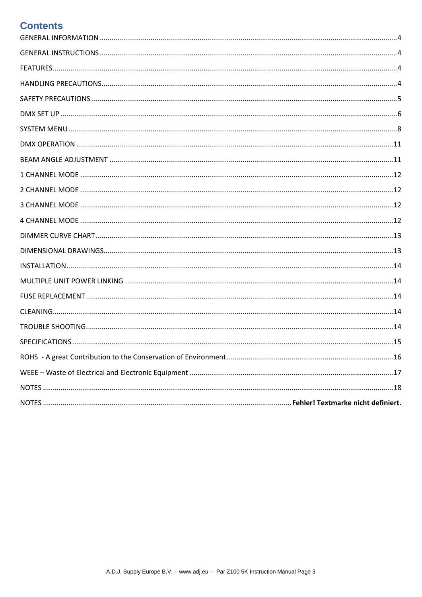### **Contents**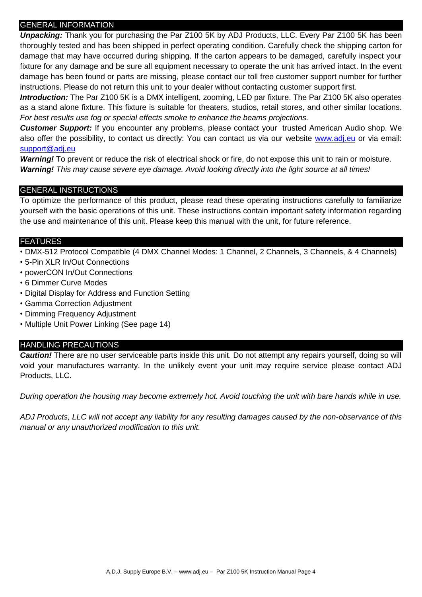#### <span id="page-3-0"></span>GENERAL INFORMATION

*Unpacking:* Thank you for purchasing the Par Z100 5K by ADJ Products, LLC. Every Par Z100 5K has been thoroughly tested and has been shipped in perfect operating condition. Carefully check the shipping carton for damage that may have occurred during shipping. If the carton appears to be damaged, carefully inspect your fixture for any damage and be sure all equipment necessary to operate the unit has arrived intact. In the event damage has been found or parts are missing, please contact our toll free customer support number for further instructions. Please do not return this unit to your dealer without contacting customer support first.

*Introduction:* The Par Z100 5K is a DMX intelligent, zooming, LED par fixture. The Par Z100 5K also operates as a stand alone fixture. This fixture is suitable for theaters, studios, retail stores, and other similar locations. *For best results use fog or special effects smoke to enhance the beams projections.*

*Customer Support:* If you encounter any problems, please contact your trusted American Audio shop. We also offer the possibility, to contact us directly: You can contact us via our website [www.adj.eu](http://www.adj.eu/) or via email: [support@adj.eu](mailto:support@adj.eu)

*Warning!* To prevent or reduce the risk of electrical shock or fire, do not expose this unit to rain or moisture. *Warning! This may cause severe eye damage. Avoid looking directly into the light source at all times!*

#### <span id="page-3-1"></span>GENERAL INSTRUCTIONS

To optimize the performance of this product, please read these operating instructions carefully to familiarize yourself with the basic operations of this unit. These instructions contain important safety information regarding the use and maintenance of this unit. Please keep this manual with the unit, for future reference.

#### <span id="page-3-2"></span>**FEATURES**

- DMX-512 Protocol Compatible (4 DMX Channel Modes: 1 Channel, 2 Channels, 3 Channels, & 4 Channels)
- 5-Pin XLR In/Out Connections
- powerCON In/Out Connections
- 6 Dimmer Curve Modes
- Digital Display for Address and Function Setting
- Gamma Correction Adjustment
- Dimming Frequency Adjustment
- Multiple Unit Power Linking (See page 14)

#### <span id="page-3-3"></span>HANDLING PRECAUTIONS

*Caution!* There are no user serviceable parts inside this unit. Do not attempt any repairs yourself, doing so will void your manufactures warranty. In the unlikely event your unit may require service please contact ADJ Products, LLC.

*During operation the housing may become extremely hot. Avoid touching the unit with bare hands while in use.*

*ADJ Products, LLC will not accept any liability for any resulting damages caused by the non-observance of this manual or any unauthorized modification to this unit.*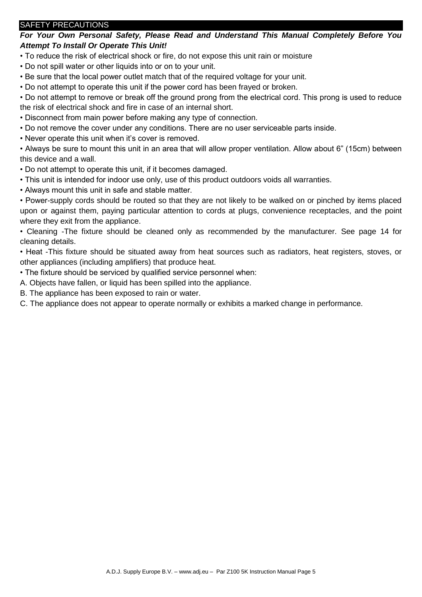#### <span id="page-4-0"></span>SAFETY PRECAUTIONS

*For Your Own Personal Safety, Please Read and Understand This Manual Completely Before You Attempt To Install Or Operate This Unit!*

• To reduce the risk of electrical shock or fire, do not expose this unit rain or moisture

• Do not spill water or other liquids into or on to your unit.

• Be sure that the local power outlet match that of the required voltage for your unit.

• Do not attempt to operate this unit if the power cord has been frayed or broken.

• Do not attempt to remove or break off the ground prong from the electrical cord. This prong is used to reduce the risk of electrical shock and fire in case of an internal short.

• Disconnect from main power before making any type of connection.

• Do not remove the cover under any conditions. There are no user serviceable parts inside.

• Never operate this unit when it's cover is removed.

• Always be sure to mount this unit in an area that will allow proper ventilation. Allow about 6" (15cm) between this device and a wall.

• Do not attempt to operate this unit, if it becomes damaged.

• This unit is intended for indoor use only, use of this product outdoors voids all warranties.

• Always mount this unit in safe and stable matter.

• Power-supply cords should be routed so that they are not likely to be walked on or pinched by items placed upon or against them, paying particular attention to cords at plugs, convenience receptacles, and the point where they exit from the appliance.

• Cleaning -The fixture should be cleaned only as recommended by the manufacturer. See page 14 for cleaning details.

• Heat -This fixture should be situated away from heat sources such as radiators, heat registers, stoves, or other appliances (including amplifiers) that produce heat.

• The fixture should be serviced by qualified service personnel when:

A. Objects have fallen, or liquid has been spilled into the appliance.

B. The appliance has been exposed to rain or water.

C. The appliance does not appear to operate normally or exhibits a marked change in performance.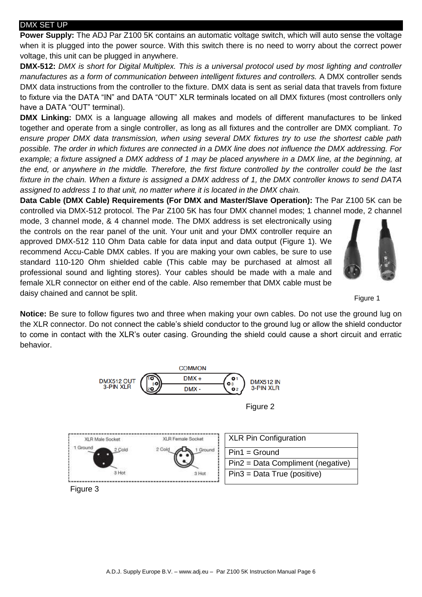#### <span id="page-5-0"></span>DMX SET UP

**Power Supply:** The ADJ Par Z100 5K contains an automatic voltage switch, which will auto sense the voltage when it is plugged into the power source. With this switch there is no need to worry about the correct power voltage, this unit can be plugged in anywhere.

**DMX-512:** *DMX is short for Digital Multiplex. This is a universal protocol used by most lighting and controller manufactures as a form of communication between intelligent fixtures and controllers.* A DMX controller sends DMX data instructions from the controller to the fixture. DMX data is sent as serial data that travels from fixture to fixture via the DATA "IN" and DATA "OUT" XLR terminals located on all DMX fixtures (most controllers only have a DATA "OUT" terminal).

**DMX Linking:** DMX is a language allowing all makes and models of different manufactures to be linked together and operate from a single controller, as long as all fixtures and the controller are DMX compliant. *To ensure proper DMX data transmission, when using several DMX fixtures try to use the shortest cable path possible. The order in which fixtures are connected in a DMX line does not influence the DMX addressing. For example; a fixture assigned a DMX address of 1 may be placed anywhere in a DMX line, at the beginning, at the end, or anywhere in the middle. Therefore, the first fixture controlled by the controller could be the last fixture in the chain. When a fixture is assigned a DMX address of 1, the DMX controller knows to send DATA assigned to address 1 to that unit, no matter where it is located in the DMX chain.*

**Data Cable (DMX Cable) Requirements (For DMX and Master/Slave Operation):** The Par Z100 5K can be controlled via DMX-512 protocol. The Par Z100 5K has four DMX channel modes; 1 channel mode, 2 channel

mode, 3 channel mode, & 4 channel mode. The DMX address is set electronically using the controls on the rear panel of the unit. Your unit and your DMX controller require an approved DMX-512 110 Ohm Data cable for data input and data output (Figure 1). We recommend Accu-Cable DMX cables. If you are making your own cables, be sure to use standard 110-120 Ohm shielded cable (This cable may be purchased at almost all professional sound and lighting stores). Your cables should be made with a male and female XLR connector on either end of the cable. Also remember that DMX cable must be daisy chained and cannot be split.



Figure 1

**Notice:** Be sure to follow figures two and three when making your own cables. Do not use the ground lug on the XLR connector. Do not connect the cable's shield conductor to the ground lug or allow the shield conductor to come in contact with the XLR's outer casing. Grounding the shield could cause a short circuit and erratic behavior.

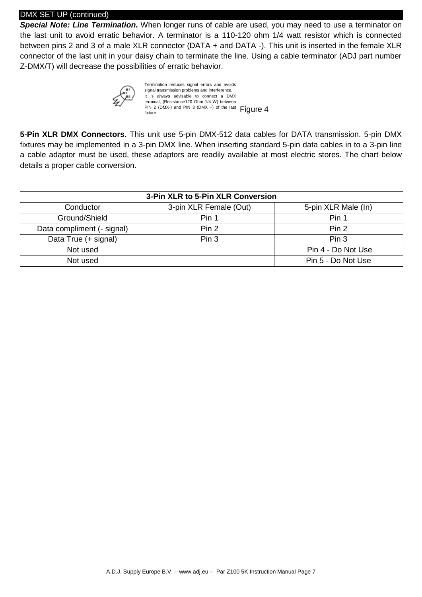#### DMX SET UP (continued)

*Special Note: Line Termination***.** When longer runs of cable are used, you may need to use a terminator on the last unit to avoid erratic behavior. A terminator is a 110-120 ohm 1/4 watt resistor which is connected between pins 2 and 3 of a male XLR connector (DATA + and DATA -). This unit is inserted in the female XLR connector of the last unit in your daisy chain to terminate the line. Using a cable terminator (ADJ part number Z-DMX/T) will decrease the possibilities of erratic behavior.



Termination reduces signal errors and avoids signal transmission problems and interference It is always advisable to connect a DMX terminal, (Resistance120 Ohm 1/4 W) between PIN 2 (DMX-) and PIN 3 (DMX +) of the last  $Figure 4$ 

**5-Pin XLR DMX Connectors.** This unit use 5-pin DMX-512 data cables for DATA transmission. 5-pin DMX fixtures may be implemented in a 3-pin DMX line. When inserting standard 5-pin data cables in to a 3-pin line a cable adaptor must be used, these adaptors are readily available at most electric stores. The chart below details a proper cable conversion.

| 3-Pin XLR to 5-Pin XLR Conversion |                        |                     |  |
|-----------------------------------|------------------------|---------------------|--|
| Conductor                         | 3-pin XLR Female (Out) | 5-pin XLR Male (In) |  |
| Ground/Shield                     | Pin 1                  | Pin 1               |  |
| Data compliment (- signal)        | Pin 2                  | Pin 2               |  |
| Data True (+ signal)              | Pin 3                  | Pin <sub>3</sub>    |  |
| Not used                          |                        | Pin 4 - Do Not Use  |  |
| Not used                          |                        | Pin 5 - Do Not Use  |  |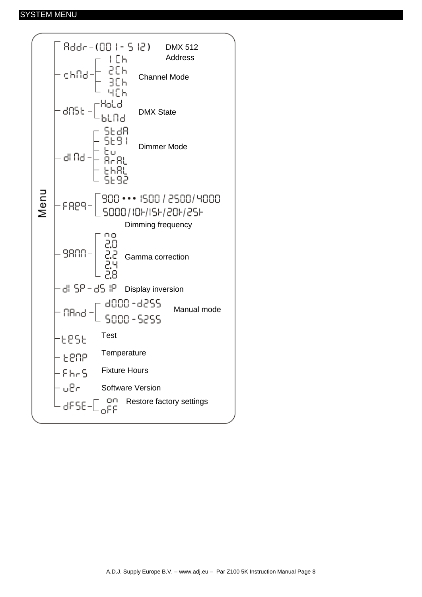#### <span id="page-7-0"></span>SYSTEM MENU

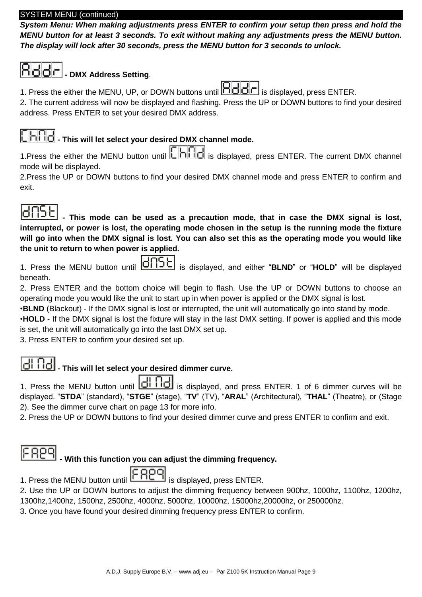#### SYSTEM MENU (continued)

*System Menu: When making adjustments press ENTER to confirm your setup then press and hold the MENU button for at least 3 seconds. To exit without making any adjustments press the MENU button. The display will lock after 30 seconds, press the MENU button for 3 seconds to unlock.* 

# **- DMX Address Setting**.

1. Press the either the MENU, UP, or DOWN buttons until **in did** r is displayed, press ENTER.

2. The current address will now be displayed and flashing. Press the UP or DOWN buttons to find your desired address. Press ENTER to set your desired DMX address.

# **- This will let select your desired DMX channel mode.**

1. Press the either the MENU button until  $\Box$  is displayed, press ENTER. The current DMX channel mode will be displayed.

2.Press the UP or DOWN buttons to find your desired DMX channel mode and press ENTER to confirm and exit.

**- This mode can be used as a precaution mode, that in case the DMX signal is lost, interrupted, or power is lost, the operating mode chosen in the setup is the running mode the fixture will go into when the DMX signal is lost. You can also set this as the operating mode you would like the unit to return to when power is applied.** 

1. Press the MENU button until **ICREE** is displayed, and either "BLND" or "HOLD" will be displayed beneath.

2. Press ENTER and the bottom choice will begin to flash. Use the UP or DOWN buttons to choose an operating mode you would like the unit to start up in when power is applied or the DMX signal is lost.

•**BLND** (Blackout) - If the DMX signal is lost or interrupted, the unit will automatically go into stand by mode. •**HOLD** - If the DMX signal is lost the fixture will stay in the last DMX setting. If power is applied and this mode is set, the unit will automatically go into the last DMX set up.

3. Press ENTER to confirm your desired set up.

# **10** This will let select your desired dimmer curve.

1. Press the MENU button until **diffel** is displayed, and press ENTER. 1 of 6 dimmer curves will be displayed. "**STDA**" (standard), "**STGE**" (stage), "**TV**" (TV), "**ARAL**" (Architectural), "**THAL**" (Theatre), or (Stage 2). See the dimmer curve chart on page 13 for more info.

2. Press the UP or DOWN buttons to find your desired dimmer curve and press ENTER to confirm and exit.

# **- With this function you can adjust the dimming frequency.**

1. Press the MENU button until **if FILE** is displayed, press ENTER.

2. Use the UP or DOWN buttons to adjust the dimming frequency between 900hz, 1000hz, 1100hz, 1200hz, 1300hz,1400hz, 1500hz, 2500hz, 4000hz, 5000hz, 10000hz, 15000hz,20000hz, or 250000hz.

3. Once you have found your desired dimming frequency press ENTER to confirm.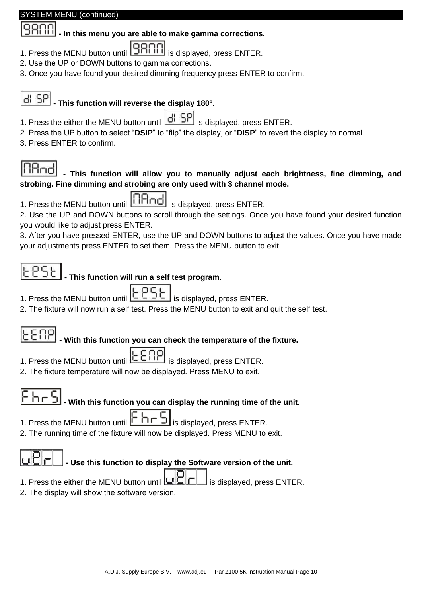#### STEM MENU (continued)

### **- In this menu you are able to make gamma corrections.**

- 1. Press the MENU button until **9RMI** is displayed, press ENTER.
- 2. Use the UP or DOWN buttons to gamma corrections.
- 3. Once you have found your desired dimming frequency press ENTER to confirm.

## **- This function will reverse the display 180º.**

- 1. Press the either the MENU button until  $\left| \frac{d}{dt} \right|$  SP is displayed, press ENTER.
- 2. Press the UP button to select "**DSIP**" to "flip" the display, or "**DISP**" to revert the display to normal.
- 3. Press ENTER to confirm.

# iitind

### **- This function will allow you to manually adjust each brightness, fine dimming, and strobing. Fine dimming and strobing are only used with 3 channel mode.**

- 1. Press the MENU button until **induce** is displayed, press ENTER.
- 2. Use the UP and DOWN buttons to scroll through the settings. Once you have found your desired function you would like to adjust press ENTER.

3. After you have pressed ENTER, use the UP and DOWN buttons to adjust the values. Once you have made your adjustments press ENTER to set them. Press the MENU button to exit.

### **- This function will run a self test program.**

- 1. Press the MENU button until  $\boxed{\begin{array}{c} \begin{array}{c} \begin{array}{c} \hline \end{array} & \begin{array}{c} \hline \end{array} \\ \hline \end{array}}$  is displayed, press ENTER.
- 2. The fixture will now run a self test. Press the MENU button to exit and quit the self test.

## **- With this function you can check the temperature of the fixture.**

- 1. Press the MENU button until  $[CEIIT]$  is displayed, press ENTER.
- 2. The fixture temperature will now be displayed. Press MENU to exit.

## **- With this function you can display the running time of the unit.**

- 1. Press the MENU button until  $\Box$   $\Box$  is displayed, press ENTER.
- 2. The running time of the fixture will now be displayed. Press MENU to exit.

# **- Use this function to display the Software version of the unit.**

- 1. Press the either the MENU button until  $\Box \Box \Box$  is displayed, press ENTER.
- 2. The display will show the software version.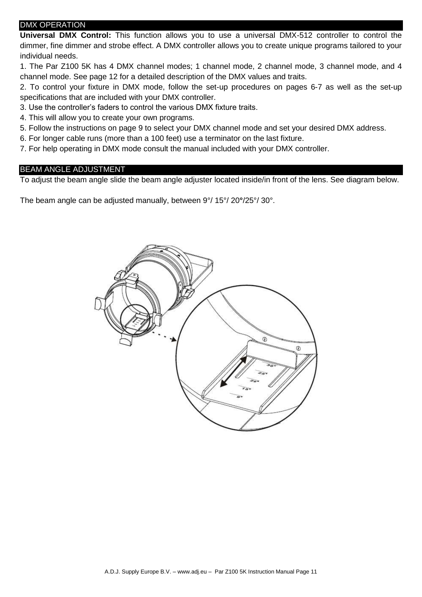#### <span id="page-10-0"></span>DMX OPERATION

**Universal DMX Control:** This function allows you to use a universal DMX-512 controller to control the dimmer, fine dimmer and strobe effect. A DMX controller allows you to create unique programs tailored to your individual needs.

1. The Par Z100 5K has 4 DMX channel modes; 1 channel mode, 2 channel mode, 3 channel mode, and 4 channel mode. See page 12 for a detailed description of the DMX values and traits.

2. To control your fixture in DMX mode, follow the set-up procedures on pages 6-7 as well as the set-up specifications that are included with your DMX controller.

3. Use the controller's faders to control the various DMX fixture traits.

4. This will allow you to create your own programs.

5. Follow the instructions on page 9 to select your DMX channel mode and set your desired DMX address.

6. For longer cable runs (more than a 100 feet) use a terminator on the last fixture.

7. For help operating in DMX mode consult the manual included with your DMX controller.

#### <span id="page-10-1"></span>BEAM ANGLE ADJUSTMENT

To adjust the beam angle slide the beam angle adjuster located inside/in front of the lens. See diagram below.

The beam angle can be adjusted manually, between 9°/ 15°/ 20**°**/25°/ 30°.

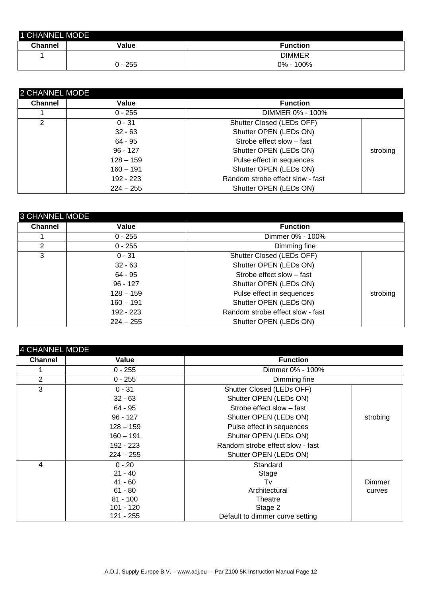<span id="page-11-0"></span>

| 1 CHANNEL MODE |           |                 |
|----------------|-----------|-----------------|
| <b>Channel</b> | Value     | <b>Function</b> |
|                |           | <b>DIMMER</b>   |
|                | $0 - 255$ | 0% - 100%       |

<span id="page-11-1"></span>

| 2 CHANNEL MODE |             |                                  |          |
|----------------|-------------|----------------------------------|----------|
| <b>Channel</b> | Value       | <b>Function</b>                  |          |
|                | $0 - 255$   | DIMMER 0% - 100%                 |          |
|                | $0 - 31$    | Shutter Closed (LEDs OFF)        |          |
|                | $32 - 63$   | Shutter OPEN (LEDs ON)           |          |
|                | $64 - 95$   | Strobe effect slow - fast        |          |
|                | $96 - 127$  | Shutter OPEN (LEDs ON)           | strobing |
|                | $128 - 159$ | Pulse effect in sequences        |          |
|                | $160 - 191$ | Shutter OPEN (LEDs ON)           |          |
|                | 192 - 223   | Random strobe effect slow - fast |          |
|                | $224 - 255$ | Shutter OPEN (LEDs ON)           |          |

<span id="page-11-2"></span>

| <b>3 CHANNEL MODE</b> |             |                                  |          |
|-----------------------|-------------|----------------------------------|----------|
| <b>Channel</b>        | Value       | <b>Function</b>                  |          |
|                       | $0 - 255$   | Dimmer 0% - 100%                 |          |
| 2                     | $0 - 255$   | Dimming fine                     |          |
| 3                     | $0 - 31$    | Shutter Closed (LEDs OFF)        |          |
|                       | $32 - 63$   | Shutter OPEN (LEDs ON)           |          |
|                       | $64 - 95$   | Strobe effect slow - fast        |          |
|                       | $96 - 127$  | Shutter OPEN (LEDs ON)           |          |
|                       | $128 - 159$ | Pulse effect in sequences        | strobing |
|                       | $160 - 191$ | Shutter OPEN (LEDs ON)           |          |
|                       | $192 - 223$ | Random strobe effect slow - fast |          |
|                       | $224 - 255$ | Shutter OPEN (LEDs ON)           |          |

<span id="page-11-3"></span>

| <b>4 CHANNEL MODE</b> |             |                                  |          |
|-----------------------|-------------|----------------------------------|----------|
| <b>Channel</b>        | Value       | <b>Function</b>                  |          |
|                       | $0 - 255$   | Dimmer 0% - 100%                 |          |
| 2                     | $0 - 255$   | Dimming fine                     |          |
| 3                     | $0 - 31$    | Shutter Closed (LEDs OFF)        |          |
|                       | $32 - 63$   | Shutter OPEN (LEDs ON)           |          |
|                       | 64 - 95     | Strobe effect slow - fast        |          |
|                       | $96 - 127$  | Shutter OPEN (LEDs ON)           | strobing |
|                       | $128 - 159$ | Pulse effect in sequences        |          |
|                       | $160 - 191$ | Shutter OPEN (LEDs ON)           |          |
|                       | 192 - 223   | Random strobe effect slow - fast |          |
|                       | $224 - 255$ | Shutter OPEN (LEDs ON)           |          |
| 4                     | $0 - 20$    | Standard                         |          |
|                       | $21 - 40$   | Stage                            |          |
|                       | $41 - 60$   | Tv                               | Dimmer   |
|                       | $61 - 80$   | Architectural                    | curves   |
|                       | $81 - 100$  | Theatre                          |          |
|                       | 101 - 120   | Stage 2                          |          |
|                       | 121 - 255   | Default to dimmer curve setting  |          |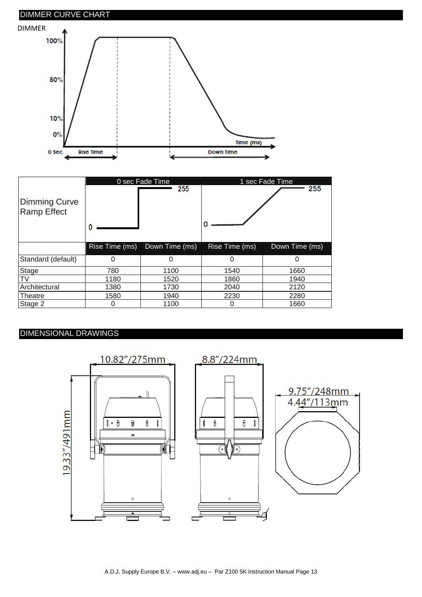<span id="page-12-0"></span>

| Dimming Curve<br><b>Ramp Effect</b> |                | 0 sec Fade Time<br>255 |                | 1 sec Fade Time<br>255 |
|-------------------------------------|----------------|------------------------|----------------|------------------------|
|                                     | Rise Time (ms) | Down Time (ms)         | Rise Time (ms) | Down Time (ms)         |
| Standard (default)                  | 0              | 0                      |                | O                      |
| Stage                               | 780            | 1100                   | 1540           | 1660                   |
| T٧                                  | 1180           | 1520                   | 1860           | 1940                   |
| Architectural                       | 1380           | 1730                   | 2040           | 2120                   |
| Theatre                             | 1580           | 1940                   | 2230           | 2280                   |
| Stage 2                             | 0              | 1100                   |                | 1660                   |

### <span id="page-12-1"></span>DIMENSIONAL DRAWINGS

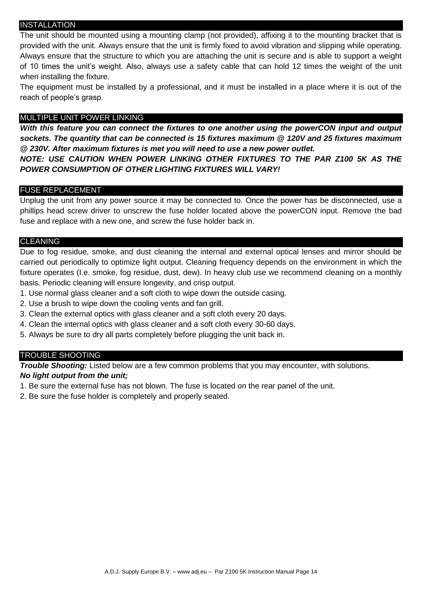#### <span id="page-13-0"></span>INSTALLATION

The unit should be mounted using a mounting clamp (not provided), affixing it to the mounting bracket that is provided with the unit. Always ensure that the unit is firmly fixed to avoid vibration and slipping while operating. Always ensure that the structure to which you are attaching the unit is secure and is able to support a weight of 10 times the unit's weight. Also, always use a safety cable that can hold 12 times the weight of the unit when installing the fixture.

The equipment must be installed by a professional, and it must be installed in a place where it is out of the reach of people's grasp.

#### <span id="page-13-1"></span>MULTIPLE UNIT POWER LINKING

*With this feature you can connect the fixtures to one another using the powerCON input and output sockets. The quantity that can be connected is 15 fixtures maximum @ 120V and 25 fixtures maximum @ 230V. After maximum fixtures is met you will need to use a new power outlet.* 

*NOTE: USE CAUTION WHEN POWER LINKING OTHER FIXTURES TO THE PAR Z100 5K AS THE POWER CONSUMPTION OF OTHER LIGHTING FIXTURES WILL VARY!*

#### <span id="page-13-2"></span>FUSE REPLACEMENT

Unplug the unit from any power source it may be connected to. Once the power has be disconnected, use a phillips head screw driver to unscrew the fuse holder located above the powerCON input. Remove the bad fuse and replace with a new one, and screw the fuse holder back in.

#### <span id="page-13-3"></span>**CLEANING**

Due to fog residue, smoke, and dust cleaning the internal and external optical lenses and mirror should be carried out periodically to optimize light output. Cleaning frequency depends on the environment in which the fixture operates (I.e. smoke, fog residue, dust, dew). In heavy club use we recommend cleaning on a monthly basis. Periodic cleaning will ensure longevity, and crisp output.

- 1. Use normal glass cleaner and a soft cloth to wipe down the outside casing.
- 2. Use a brush to wipe down the cooling vents and fan grill.
- 3. Clean the external optics with glass cleaner and a soft cloth every 20 days.
- 4. Clean the internal optics with glass cleaner and a soft cloth every 30-60 days.
- 5. Always be sure to dry all parts completely before plugging the unit back in.

#### <span id="page-13-4"></span>TROUBLE SHOOTING

*Trouble Shooting:* Listed below are a few common problems that you may encounter, with solutions. *No light output from the unit;*

- 1. Be sure the external fuse has not blown. The fuse is located on the rear panel of the unit.
- 2. Be sure the fuse holder is completely and properly seated.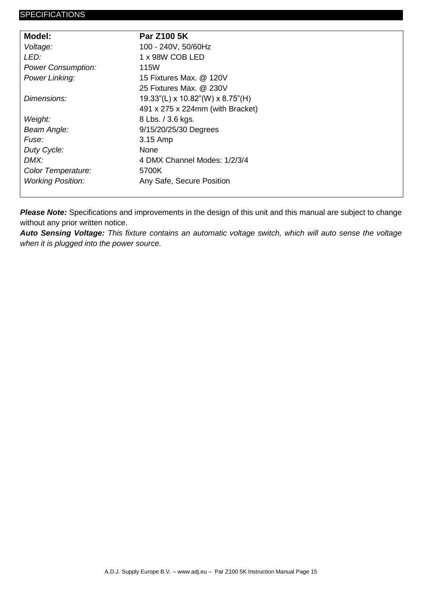<span id="page-14-0"></span>

| Model:                    | <b>Par Z100 5K</b>                        |
|---------------------------|-------------------------------------------|
| Voltage:                  | 100 - 240V, 50/60Hz                       |
| LED:                      | 1 x 98W COB LED                           |
| <b>Power Consumption:</b> | <b>115W</b>                               |
| <b>Power Linking:</b>     | 15 Fixtures Max. @ 120V                   |
|                           | 25 Fixtures Max. @ 230V                   |
| Dimensions:               | $19.33$ "(L) x $10.82$ "(W) x $8.75$ "(H) |
|                           | 491 x 275 x 224mm (with Bracket)          |
| Weight:                   | 8 Lbs. / 3.6 kgs.                         |
| Beam Angle:               | 9/15/20/25/30 Degrees                     |
| Fuse:                     | 3.15 Amp                                  |
| Duty Cycle:               | <b>None</b>                               |
| DMX:                      | 4 DMX Channel Modes: 1/2/3/4              |
| Color Temperature:        | 5700K                                     |
| <b>Working Position:</b>  | Any Safe, Secure Position                 |
|                           |                                           |

*Please Note:* Specifications and improvements in the design of this unit and this manual are subject to change without any prior written notice.

*Auto Sensing Voltage: This fixture contains an automatic voltage switch, which will auto sense the voltage when it is plugged into the power source.*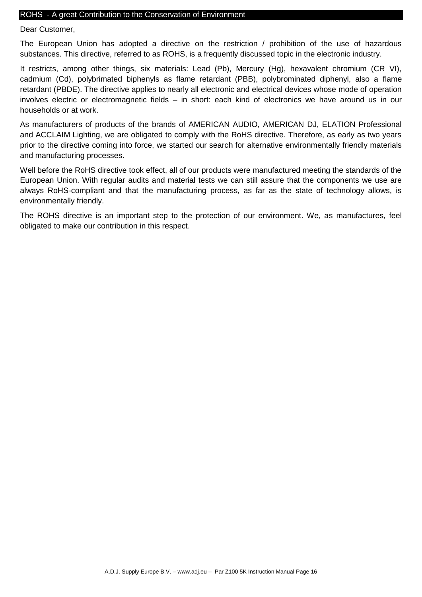#### <span id="page-15-0"></span>ROHS - A great Contribution to the Conservation of Environment

Dear Customer,

The European Union has adopted a directive on the restriction / prohibition of the use of hazardous substances. This directive, referred to as ROHS, is a frequently discussed topic in the electronic industry.

It restricts, among other things, six materials: Lead (Pb), Mercury (Hg), hexavalent chromium (CR VI), cadmium (Cd), polybrimated biphenyls as flame retardant (PBB), polybrominated diphenyl, also a flame retardant (PBDE). The directive applies to nearly all electronic and electrical devices whose mode of operation involves electric or electromagnetic fields – in short: each kind of electronics we have around us in our households or at work.

As manufacturers of products of the brands of AMERICAN AUDIO, AMERICAN DJ, ELATION Professional and ACCLAIM Lighting, we are obligated to comply with the RoHS directive. Therefore, as early as two years prior to the directive coming into force, we started our search for alternative environmentally friendly materials and manufacturing processes.

Well before the RoHS directive took effect, all of our products were manufactured meeting the standards of the European Union. With regular audits and material tests we can still assure that the components we use are always RoHS-compliant and that the manufacturing process, as far as the state of technology allows, is environmentally friendly.

The ROHS directive is an important step to the protection of our environment. We, as manufactures, feel obligated to make our contribution in this respect.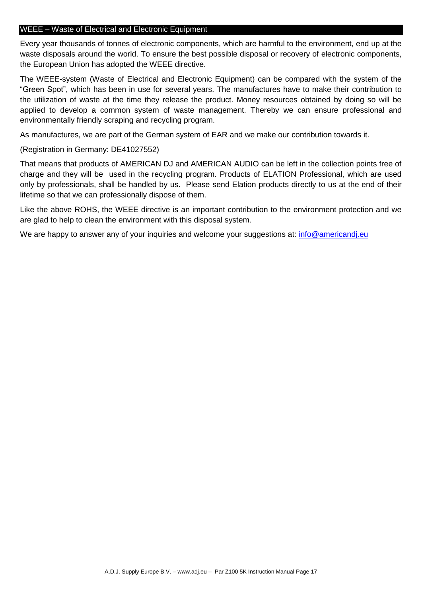#### <span id="page-16-0"></span>WEEE – Waste of Electrical and Electronic Equipment

Every year thousands of tonnes of electronic components, which are harmful to the environment, end up at the waste disposals around the world. To ensure the best possible disposal or recovery of electronic components, the European Union has adopted the WEEE directive.

The WEEE-system (Waste of Electrical and Electronic Equipment) can be compared with the system of the "Green Spot", which has been in use for several years. The manufactures have to make their contribution to the utilization of waste at the time they release the product. Money resources obtained by doing so will be applied to develop a common system of waste management. Thereby we can ensure professional and environmentally friendly scraping and recycling program.

As manufactures, we are part of the German system of EAR and we make our contribution towards it.

#### (Registration in Germany: DE41027552)

That means that products of AMERICAN DJ and AMERICAN AUDIO can be left in the collection points free of charge and they will be used in the recycling program. Products of ELATION Professional, which are used only by professionals, shall be handled by us. Please send Elation products directly to us at the end of their lifetime so that we can professionally dispose of them.

Like the above ROHS, the WEEE directive is an important contribution to the environment protection and we are glad to help to clean the environment with this disposal system.

We are happy to answer any of your inquiries and welcome your suggestions at: [info@americandj.eu](mailto:info@americandj.eu)